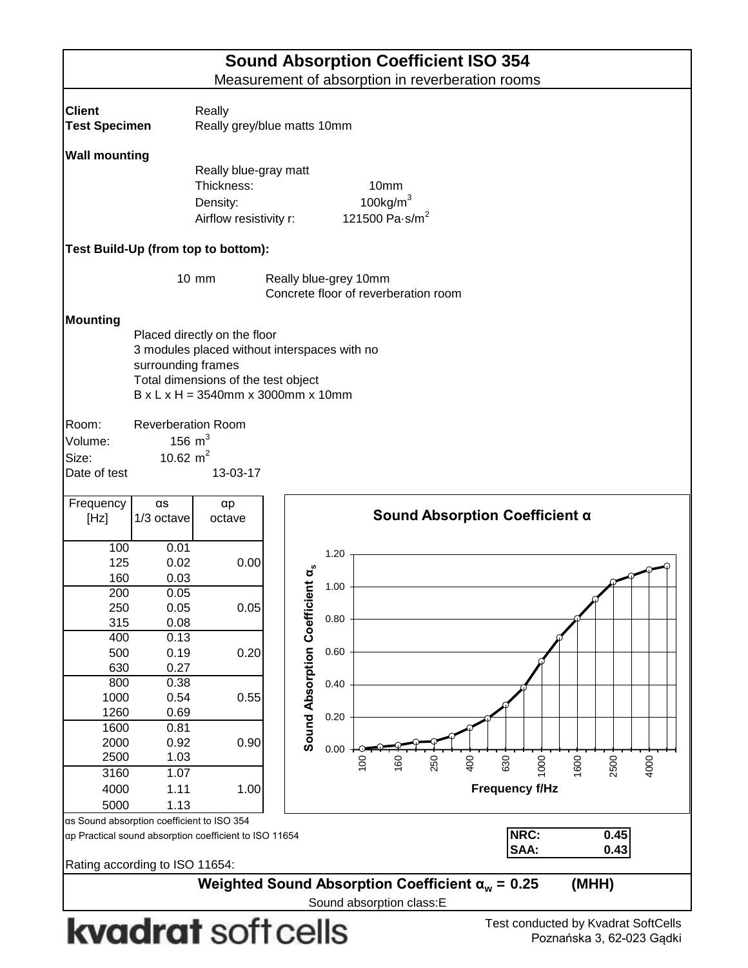| <b>Sound Absorption Coefficient ISO 354</b> |                                                           |                                                       |                              |      |                                                                           |  |  |  |  |  |  |
|---------------------------------------------|-----------------------------------------------------------|-------------------------------------------------------|------------------------------|------|---------------------------------------------------------------------------|--|--|--|--|--|--|
|                                             |                                                           |                                                       |                              |      | Measurement of absorption in reverberation rooms                          |  |  |  |  |  |  |
| <b>Client</b>                               |                                                           |                                                       |                              |      |                                                                           |  |  |  |  |  |  |
| <b>Test Specimen</b>                        | Really<br>Really grey/blue matts 10mm                     |                                                       |                              |      |                                                                           |  |  |  |  |  |  |
|                                             |                                                           |                                                       |                              |      |                                                                           |  |  |  |  |  |  |
| <b>Wall mounting</b>                        |                                                           |                                                       |                              |      |                                                                           |  |  |  |  |  |  |
|                                             |                                                           | Really blue-gray matt                                 |                              |      |                                                                           |  |  |  |  |  |  |
|                                             |                                                           | Thickness:                                            |                              |      | 10mm                                                                      |  |  |  |  |  |  |
|                                             |                                                           | Density:                                              |                              |      | 100 $kg/m3$                                                               |  |  |  |  |  |  |
|                                             |                                                           | Airflow resistivity r:                                |                              |      | 121500 Pa $\cdot$ s/m <sup>2</sup>                                        |  |  |  |  |  |  |
|                                             |                                                           | Test Build-Up (from top to bottom):                   |                              |      |                                                                           |  |  |  |  |  |  |
|                                             | 10 mm                                                     |                                                       | Really blue-grey 10mm        |      |                                                                           |  |  |  |  |  |  |
|                                             |                                                           |                                                       |                              |      | Concrete floor of reverberation room                                      |  |  |  |  |  |  |
| <b>Mounting</b>                             |                                                           |                                                       |                              |      |                                                                           |  |  |  |  |  |  |
|                                             |                                                           | Placed directly on the floor                          |                              |      |                                                                           |  |  |  |  |  |  |
|                                             | 3 modules placed without interspaces with no              |                                                       |                              |      |                                                                           |  |  |  |  |  |  |
|                                             | surrounding frames<br>Total dimensions of the test object |                                                       |                              |      |                                                                           |  |  |  |  |  |  |
|                                             |                                                           |                                                       |                              |      |                                                                           |  |  |  |  |  |  |
|                                             |                                                           | $B \times L \times H = 3540$ mm x 3000mm x 10mm       |                              |      |                                                                           |  |  |  |  |  |  |
| Room:                                       | <b>Reverberation Room</b>                                 |                                                       |                              |      |                                                                           |  |  |  |  |  |  |
| Volume:                                     | 156 $m3$                                                  |                                                       |                              |      |                                                                           |  |  |  |  |  |  |
| Size:                                       | 10.62 $m2$                                                |                                                       |                              |      |                                                                           |  |  |  |  |  |  |
| Date of test                                |                                                           | 13-03-17                                              |                              |      |                                                                           |  |  |  |  |  |  |
|                                             |                                                           |                                                       |                              |      |                                                                           |  |  |  |  |  |  |
| Frequency                                   | $\alpha s$                                                | $\alpha p$                                            |                              |      | Sound Absorption Coefficient α                                            |  |  |  |  |  |  |
| [Hz]                                        | 1/3 octave                                                | octave                                                |                              |      |                                                                           |  |  |  |  |  |  |
| 100                                         | 0.01                                                      |                                                       |                              |      |                                                                           |  |  |  |  |  |  |
| 125                                         | 0.02                                                      | 0.00                                                  |                              | 1.20 |                                                                           |  |  |  |  |  |  |
| 160                                         | 0.03                                                      |                                                       | ō                            |      |                                                                           |  |  |  |  |  |  |
| 200                                         | 0.05                                                      |                                                       |                              | 1.00 |                                                                           |  |  |  |  |  |  |
| 250                                         | 0.05                                                      | 0.05                                                  |                              |      |                                                                           |  |  |  |  |  |  |
| 315                                         | 0.08                                                      |                                                       |                              | 0.80 |                                                                           |  |  |  |  |  |  |
| 400                                         | 0.13                                                      |                                                       | Sound Absorption Coefficient |      |                                                                           |  |  |  |  |  |  |
| 500                                         | 0.19                                                      | 0.20                                                  |                              | 0.60 |                                                                           |  |  |  |  |  |  |
| 630                                         | 0.27                                                      |                                                       |                              |      |                                                                           |  |  |  |  |  |  |
| 800<br>1000                                 | 0.38<br>0.54                                              | 0.55                                                  |                              | 0.40 |                                                                           |  |  |  |  |  |  |
| 1260                                        | 0.69                                                      |                                                       |                              |      |                                                                           |  |  |  |  |  |  |
| 1600                                        | 0.81                                                      |                                                       |                              | 0.20 |                                                                           |  |  |  |  |  |  |
| 2000                                        | 0.92                                                      | 0.90                                                  |                              |      |                                                                           |  |  |  |  |  |  |
| 2500                                        | 1.03                                                      |                                                       |                              | 0.00 |                                                                           |  |  |  |  |  |  |
| 3160                                        | 1.07                                                      |                                                       |                              |      | 630<br>400<br>1000<br>1600<br>2500<br>250<br>4000<br>$\frac{0}{2}$<br>160 |  |  |  |  |  |  |
| 4000                                        | 1.11                                                      | 1.00                                                  |                              |      | <b>Frequency f/Hz</b>                                                     |  |  |  |  |  |  |
| 5000                                        | 1.13                                                      |                                                       |                              |      |                                                                           |  |  |  |  |  |  |
| as Sound absorption coefficient to ISO 354  |                                                           |                                                       |                              |      |                                                                           |  |  |  |  |  |  |
|                                             |                                                           | α Practical sound absorption coefficient to ISO 11654 |                              |      | NRC:<br>0.45                                                              |  |  |  |  |  |  |

Rating according to ISO 11654:

**0.25 (MHH) Weighted Sound Absorption Coefficient α<sub>w</sub> = 0.25** 

Sound absorption class:E

## kvadrat soft cells

**SAA: 0.43**